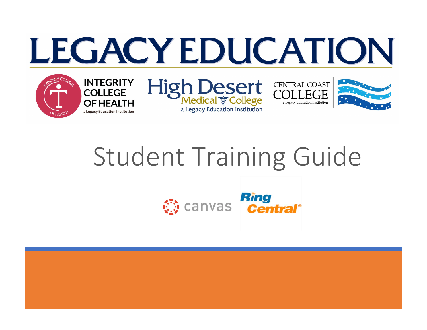# LEGACY EDUCATION



**INTEGRITY** 

**OF HEALTH** 

a Legacy Education Institution

**COLLEGE** 







# Student Training Guide

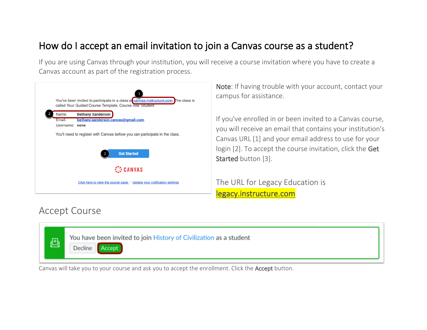# How do I accept an email invitation to join a Canvas course as a student?

If you are using Canvas through your institution, you will receive a course invitation where you have to create a Canvas account as part of the registration process.



Note: If having trouble with your account, contact your campus for assistance.

If you've enrolled in or been invited to a Canvas course, you will receive an email that contains your institution's Canvas URL [1] and your email address to use for your login [2]. To accept the course invitation, click the Get Started button [3].

The URL for Legacy Education is legacy.instructure.com

### Accept Course



Canvas will take you to your course and ask you to accept the enrollment. Click the Accept button.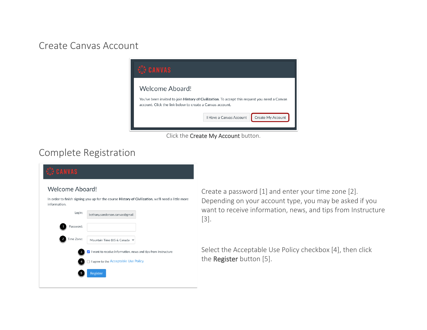#### Create Canvas Account



Click the Create My Account button.

## Complete Registration



Create a password [1] and enter your time zone [2]. Depending on your account type, you may be asked if you want to receive information, news, and tips from Instructure [3].

Select the Acceptable Use Policy checkbox [4], then click the Register button [5].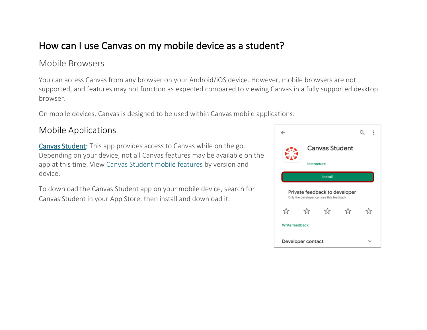# How can I use Canvas on my mobile device as a student?

#### Mobile Browsers

You can access Canvas from any browser on your Android/iOS device. However, mobile browsers are not supported, and features may not function as expected compared to viewing Canvas in a fully supported desktop browser.

On mobile devices, Canvas is designed to be used within Canvas mobile applications.

#### Mobile Applications

[Canvas Student:](https://community.canvaslms.com/docs/DOC-4048) This app provides access to Canvas while on the go. Depending on your device, not all Canvas features may be available on the app at this time. View [Canvas Student mobile features](http://bit.ly/cnvs-student-app) by version and device.

To download the Canvas Student app on your mobile device, search for Canvas Student in your App Store, then install and download it.

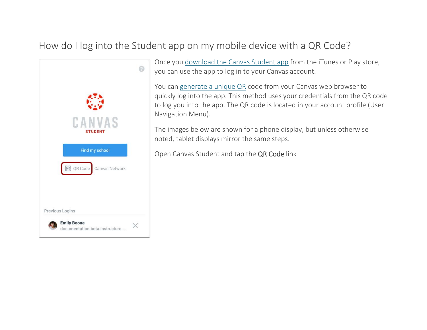# How do I log into the Student app on my mobile device with a QR Code?



Once you [download the Canvas Student app](https://community.canvaslms.com/t5/Canvas-Student-Android-Guide/How-do-I-download-the-Canvas-Student-app-on-my-Android-device/ta-p/1860) from the iTunes or Play store, you can use the app to log in to your Canvas account.

You can [generate a unique QR](https://community.canvaslms.com/docs/DOC-18636-42121224592) code from your Canvas web browser to quickly log into the app. This method uses your credentials from the QR code to log you into the app. The QR code is located in your account profile (User Navigation Menu).

The images below are shown for a phone display, but unless otherwise noted, tablet displays mirror the same steps.

Open Canvas Student and tap the QR Code link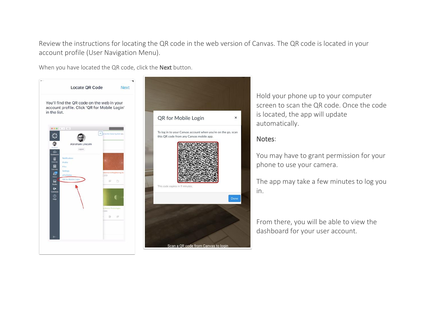Review the instructions for locating the QR code in the web version of Canvas. The QR code is located in your account profile (User Navigation Menu).

When you have located the QR code, click the Next button.





Hold your phone up to your computer screen to scan the QR code. Once the code is located, the app will update automatically.

#### Notes:

You may have to grant permission for your phone to use your camera.

The app may take a few minutes to log you in.

From there, you will be able to view the dashboard for your user account.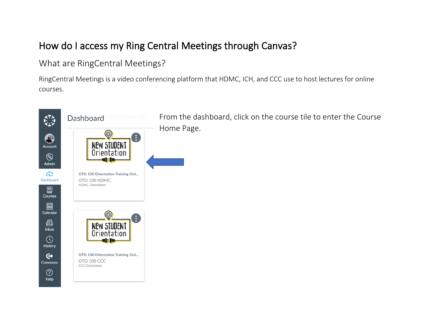# How do I access my Ring Central Meetings through Canvas?

#### What are RingCentral Meetings?

RingCentral Meetings is a video conferencing platform that HDMC, ICH, and CCC use to host lectures for online courses.